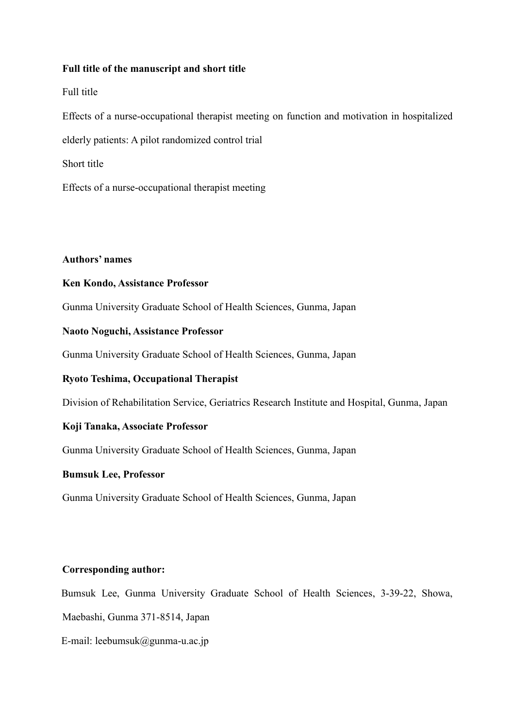### **Full title of the manuscript and short title**

Full title

Effects of a nurse-occupational therapist meeting on function and motivation in hospitalized elderly patients: A pilot randomized control trial Short title

Effects of a nurse-occupational therapist meeting

## **Authors' names**

## **Ken Kondo, Assistance Professor**

Gunma University Graduate School of Health Sciences, Gunma, Japan

# **Naoto Noguchi, Assistance Professor**

Gunma University Graduate School of Health Sciences, Gunma, Japan

# **Ryoto Teshima, Occupational Therapist**

Division of Rehabilitation Service, Geriatrics Research Institute and Hospital, Gunma, Japan

### **Koji Tanaka, Associate Professor**

Gunma University Graduate School of Health Sciences, Gunma, Japan

### **Bumsuk Lee, Professor**

Gunma University Graduate School of Health Sciences, Gunma, Japan

# **Corresponding author:**

Bumsuk Lee, Gunma University Graduate School of Health Sciences, 3-39-22, Showa,

Maebashi, Gunma 371-8514, Japan

E-mail: [leebumsuk@gunma-u.ac.jp](mailto:leebumsuk@gunma-u.ac.jp)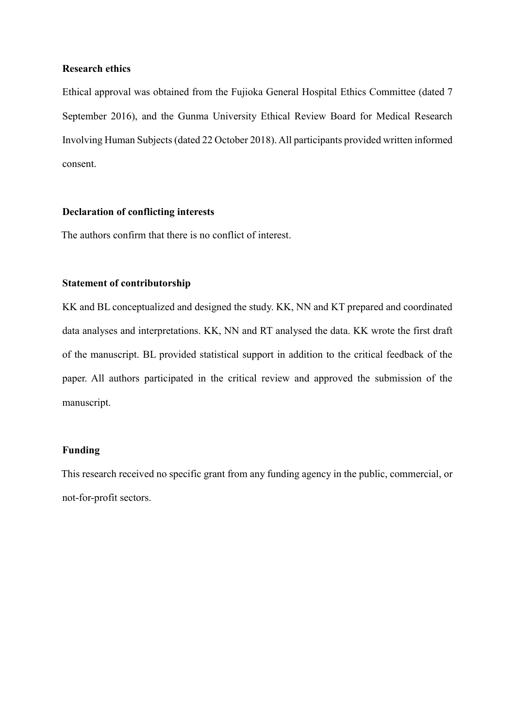#### **Research ethics**

Ethical approval was obtained from the Fujioka General Hospital Ethics Committee (dated 7 September 2016), and the Gunma University Ethical Review Board for Medical Research Involving Human Subjects (dated 22 October 2018). All participants provided written informed consent.

#### **Declaration of conflicting interests**

The authors confirm that there is no conflict of interest.

#### **Statement of contributorship**

KK and BL conceptualized and designed the study. KK, NN and KT prepared and coordinated data analyses and interpretations. KK, NN and RT analysed the data. KK wrote the first draft of the manuscript. BL provided statistical support in addition to the critical feedback of the paper. All authors participated in the critical review and approved the submission of the manuscript.

# **Funding**

This research received no specific grant from any funding agency in the public, commercial, or not-for-profit sectors.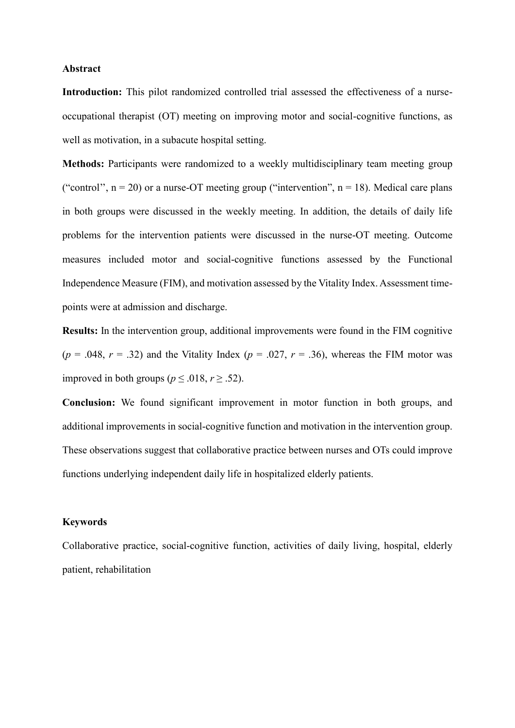#### **Abstract**

**Introduction:** This pilot randomized controlled trial assessed the effectiveness of a nurseoccupational therapist (OT) meeting on improving motor and social-cognitive functions, as well as motivation, in a subacute hospital setting.

**Methods:** Participants were randomized to a weekly multidisciplinary team meeting group ("control",  $n = 20$ ) or a nurse-OT meeting group ("intervention",  $n = 18$ ). Medical care plans in both groups were discussed in the weekly meeting. In addition, the details of daily life problems for the intervention patients were discussed in the nurse-OT meeting. Outcome measures included motor and social-cognitive functions assessed by the Functional Independence Measure (FIM), and motivation assessed by the Vitality Index. Assessment timepoints were at admission and discharge.

**Results:** In the intervention group, additional improvements were found in the FIM cognitive  $(p = .048, r = .32)$  and the Vitality Index  $(p = .027, r = .36)$ , whereas the FIM motor was improved in both groups ( $p \le 0.018$ ,  $r \ge 0.52$ ).

**Conclusion:** We found significant improvement in motor function in both groups, and additional improvements in social-cognitive function and motivation in the intervention group. These observations suggest that collaborative practice between nurses and OTs could improve functions underlying independent daily life in hospitalized elderly patients.

#### **Keywords**

Collaborative practice, social-cognitive function, activities of daily living, hospital, elderly patient, rehabilitation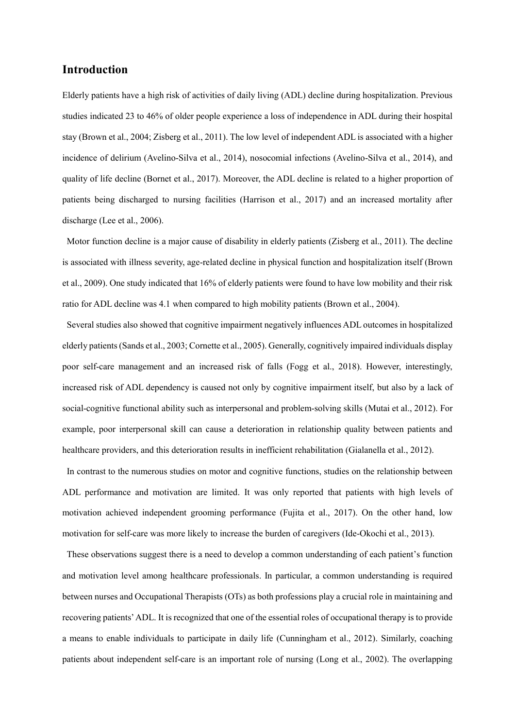### **Introduction**

Elderly patients have a high risk of activities of daily living (ADL) decline during hospitalization. Previous studies indicated 23 to 46% of older people experience a loss of independence in ADL during their hospital stay (Brown et al., 2004; Zisberg et al., 2011). The low level of independent ADL is associated with a higher incidence of delirium (Avelino-Silva et al., 2014), nosocomial infections (Avelino-Silva et al., 2014), and quality of life decline (Bornet et al., 2017). Moreover, the ADL decline is related to a higher proportion of patients being discharged to nursing facilities (Harrison et al., 2017) and an increased mortality after discharge (Lee et al., 2006).

Motor function decline is a major cause of disability in elderly patients (Zisberg et al., 2011). The decline is associated with illness severity, age-related decline in physical function and hospitalization itself (Brown et al., 2009). One study indicated that 16% of elderly patients were found to have low mobility and their risk ratio for ADL decline was 4.1 when compared to high mobility patients (Brown et al., 2004).

Several studies also showed that cognitive impairment negatively influences ADL outcomes in hospitalized elderly patients (Sands et al., 2003; Cornette et al., 2005). Generally, cognitively impaired individuals display poor self-care management and an increased risk of falls (Fogg et al., 2018). However, interestingly, increased risk of ADL dependency is caused not only by cognitive impairment itself, but also by a lack of social-cognitive functional ability such as interpersonal and problem-solving skills (Mutai et al., 2012). For example, poor interpersonal skill can cause a deterioration in relationship quality between patients and healthcare providers, and this deterioration results in inefficient rehabilitation (Gialanella et al., 2012).

In contrast to the numerous studies on motor and cognitive functions, studies on the relationship between ADL performance and motivation are limited. It was only reported that patients with high levels of motivation achieved independent grooming performance (Fujita et al., 2017). On the other hand, low motivation for self-care was more likely to increase the burden of caregivers (Ide-Okochi et al., 2013).

These observations suggest there is a need to develop a common understanding of each patient's function and motivation level among healthcare professionals. In particular, a common understanding is required between nurses and Occupational Therapists (OTs) as both professions play a crucial role in maintaining and recovering patients' ADL. It is recognized that one of the essential roles of occupational therapy is to provide a means to enable individuals to participate in daily life (Cunningham et al., 2012). Similarly, coaching patients about independent self-care is an important role of nursing (Long et al., 2002). The overlapping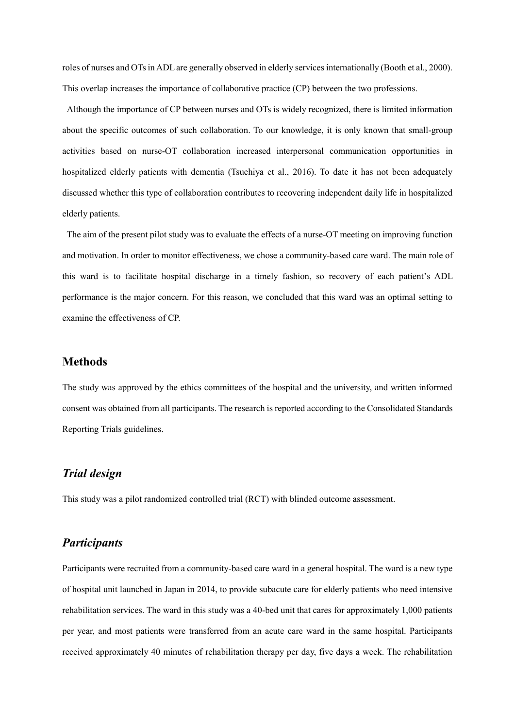roles of nurses and OTs in ADL are generally observed in elderly services internationally (Booth et al., 2000). This overlap increases the importance of collaborative practice (CP) between the two professions.

Although the importance of CP between nurses and OTs is widely recognized, there is limited information about the specific outcomes of such collaboration. To our knowledge, it is only known that small-group activities based on nurse-OT collaboration increased interpersonal communication opportunities in hospitalized elderly patients with dementia (Tsuchiya et al., 2016). To date it has not been adequately discussed whether this type of collaboration contributes to recovering independent daily life in hospitalized elderly patients.

The aim of the present pilot study was to evaluate the effects of a nurse-OT meeting on improving function and motivation. In order to monitor effectiveness, we chose a community-based care ward. The main role of this ward is to facilitate hospital discharge in a timely fashion, so recovery of each patient's ADL performance is the major concern. For this reason, we concluded that this ward was an optimal setting to examine the effectiveness of CP.

### **Methods**

The study was approved by the ethics committees of the hospital and the university, and written informed consent was obtained from all participants. The research is reported according to the Consolidated Standards Reporting Trials guidelines.

## *Trial design*

This study was a pilot randomized controlled trial (RCT) with blinded outcome assessment.

### *Participants*

Participants were recruited from a community-based care ward in a general hospital. The ward is a new type of hospital unit launched in Japan in 2014, to provide subacute care for elderly patients who need intensive rehabilitation services. The ward in this study was a 40-bed unit that cares for approximately 1,000 patients per year, and most patients were transferred from an acute care ward in the same hospital. Participants received approximately 40 minutes of rehabilitation therapy per day, five days a week. The rehabilitation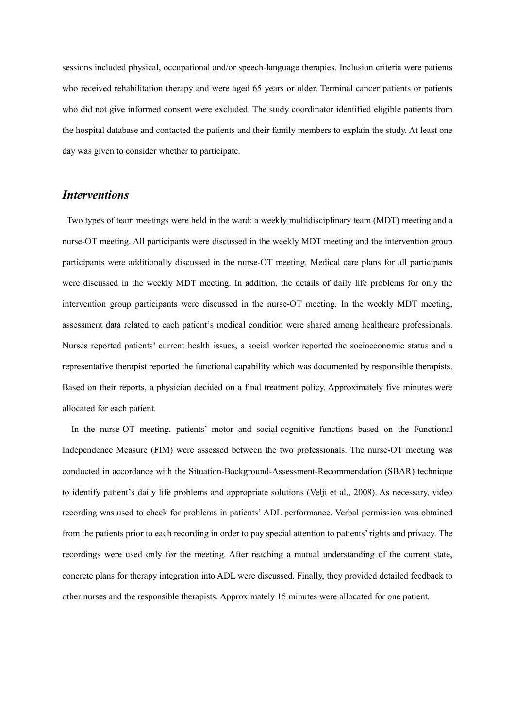sessions included physical, occupational and/or speech-language therapies. Inclusion criteria were patients who received rehabilitation therapy and were aged 65 years or older. Terminal cancer patients or patients who did not give informed consent were excluded. The study coordinator identified eligible patients from the hospital database and contacted the patients and their family members to explain the study. At least one day was given to consider whether to participate.

# *Interventions*

Two types of team meetings were held in the ward: a weekly multidisciplinary team (MDT) meeting and a nurse-OT meeting. All participants were discussed in the weekly MDT meeting and the intervention group participants were additionally discussed in the nurse-OT meeting. Medical care plans for all participants were discussed in the weekly MDT meeting. In addition, the details of daily life problems for only the intervention group participants were discussed in the nurse-OT meeting. In the weekly MDT meeting, assessment data related to each patient's medical condition were shared among healthcare professionals. Nurses reported patients' current health issues, a social worker reported the socioeconomic status and a representative therapist reported the functional capability which was documented by responsible therapists. Based on their reports, a physician decided on a final treatment policy. Approximately five minutes were allocated for each patient.

In the nurse-OT meeting, patients' motor and social-cognitive functions based on the Functional Independence Measure (FIM) were assessed between the two professionals. The nurse-OT meeting was conducted in accordance with the Situation-Background-Assessment-Recommendation (SBAR) technique to identify patient's daily life problems and appropriate solutions (Velji et al., 2008). As necessary, video recording was used to check for problems in patients' ADL performance. Verbal permission was obtained from the patients prior to each recording in order to pay special attention to patients' rights and privacy. The recordings were used only for the meeting. After reaching a mutual understanding of the current state, concrete plans for therapy integration into ADL were discussed. Finally, they provided detailed feedback to other nurses and the responsible therapists. Approximately 15 minutes were allocated for one patient.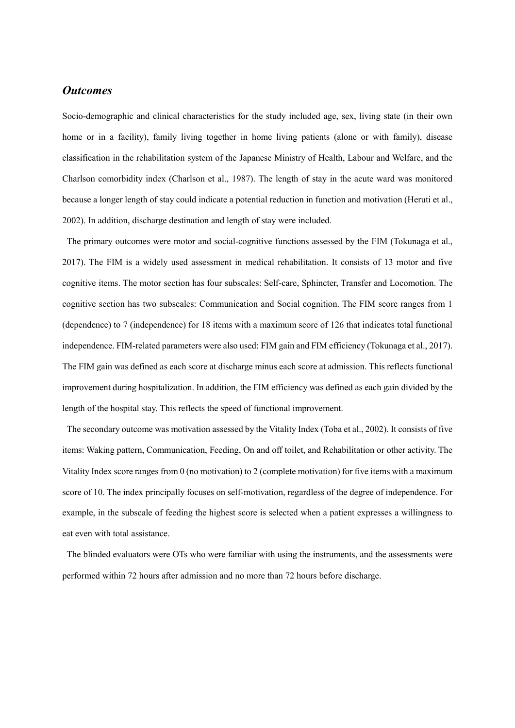## *Outcomes*

Socio-demographic and clinical characteristics for the study included age, sex, living state (in their own home or in a facility), family living together in home living patients (alone or with family), disease classification in the rehabilitation system of the Japanese Ministry of Health, Labour and Welfare, and the Charlson comorbidity index (Charlson et al., 1987). The length of stay in the acute ward was monitored because a longer length of stay could indicate a potential reduction in function and motivation (Heruti et al., 2002). In addition, discharge destination and length of stay were included.

The primary outcomes were motor and social-cognitive functions assessed by the FIM (Tokunaga et al., 2017). The FIM is a widely used assessment in medical rehabilitation. It consists of 13 motor and five cognitive items. The motor section has four subscales: Self-care, Sphincter, Transfer and Locomotion. The cognitive section has two subscales: Communication and Social cognition. The FIM score ranges from 1 (dependence) to 7 (independence) for 18 items with a maximum score of 126 that indicates total functional independence. FIM-related parameters were also used: FIM gain and FIM efficiency (Tokunaga et al., 2017). The FIM gain was defined as each score at discharge minus each score at admission. This reflects functional improvement during hospitalization. In addition, the FIM efficiency was defined as each gain divided by the length of the hospital stay. This reflects the speed of functional improvement.

The secondary outcome was motivation assessed by the Vitality Index (Toba et al., 2002). It consists of five items: Waking pattern, Communication, Feeding, On and off toilet, and Rehabilitation or other activity. The Vitality Index score ranges from 0 (no motivation) to 2 (complete motivation) for five items with a maximum score of 10. The index principally focuses on self-motivation, regardless of the degree of independence. For example, in the subscale of feeding the highest score is selected when a patient expresses a willingness to eat even with total assistance.

The blinded evaluators were OTs who were familiar with using the instruments, and the assessments were performed within 72 hours after admission and no more than 72 hours before discharge.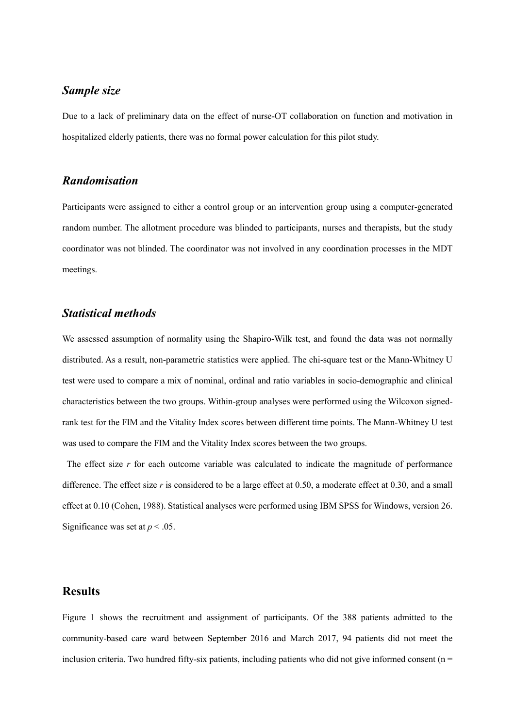# *Sample size*

Due to a lack of preliminary data on the effect of nurse-OT collaboration on function and motivation in hospitalized elderly patients, there was no formal power calculation for this pilot study.

# *Randomisation*

Participants were assigned to either a control group or an intervention group using a computer-generated random number. The allotment procedure was blinded to participants, nurses and therapists, but the study coordinator was not blinded. The coordinator was not involved in any coordination processes in the MDT meetings.

## *Statistical methods*

We assessed assumption of normality using the Shapiro-Wilk test, and found the data was not normally distributed. As a result, non-parametric statistics were applied. The chi-square test or the Mann-Whitney U test were used to compare a mix of nominal, ordinal and ratio variables in socio-demographic and clinical characteristics between the two groups. Within-group analyses were performed using the Wilcoxon signedrank test for the FIM and the Vitality Index scores between different time points. The Mann-Whitney U test was used to compare the FIM and the Vitality Index scores between the two groups.

The effect size *r* for each outcome variable was calculated to indicate the magnitude of performance difference. The effect size *r* is considered to be a large effect at 0.50, a moderate effect at 0.30, and a small effect at 0.10 (Cohen, 1988). Statistical analyses were performed using IBM SPSS for Windows, version 26. Significance was set at  $p < .05$ .

## **Results**

Figure 1 shows the recruitment and assignment of participants. Of the 388 patients admitted to the community-based care ward between September 2016 and March 2017, 94 patients did not meet the inclusion criteria. Two hundred fifty-six patients, including patients who did not give informed consent ( $n =$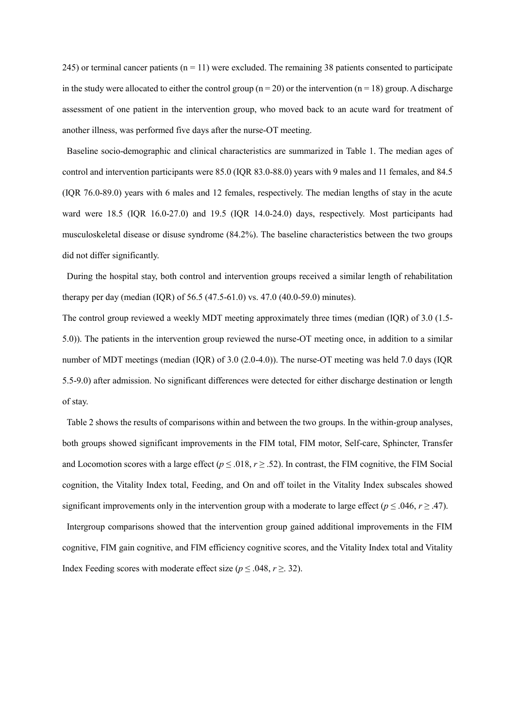245) or terminal cancer patients  $(n = 11)$  were excluded. The remaining 38 patients consented to participate in the study were allocated to either the control group ( $n = 20$ ) or the intervention ( $n = 18$ ) group. A discharge assessment of one patient in the intervention group, who moved back to an acute ward for treatment of another illness, was performed five days after the nurse-OT meeting.

Baseline socio-demographic and clinical characteristics are summarized in Table 1. The median ages of control and intervention participants were 85.0 (IQR 83.0-88.0) years with 9 males and 11 females, and 84.5 (IQR 76.0-89.0) years with 6 males and 12 females, respectively. The median lengths of stay in the acute ward were 18.5 (IQR 16.0-27.0) and 19.5 (IQR 14.0-24.0) days, respectively. Most participants had musculoskeletal disease or disuse syndrome (84.2%). The baseline characteristics between the two groups did not differ significantly.

During the hospital stay, both control and intervention groups received a similar length of rehabilitation therapy per day (median (IQR) of 56.5 (47.5-61.0) vs. 47.0 (40.0-59.0) minutes).

The control group reviewed a weekly MDT meeting approximately three times (median (IQR) of 3.0 (1.5- 5.0)). The patients in the intervention group reviewed the nurse-OT meeting once, in addition to a similar number of MDT meetings (median (IQR) of 3.0 (2.0-4.0)). The nurse-OT meeting was held 7.0 days (IQR 5.5-9.0) after admission. No significant differences were detected for either discharge destination or length of stay.

Table 2 shows the results of comparisons within and between the two groups. In the within-group analyses, both groups showed significant improvements in the FIM total, FIM motor, Self-care, Sphincter, Transfer and Locomotion scores with a large effect ( $p \le 0.018$ ,  $r \ge 0.52$ ). In contrast, the FIM cognitive, the FIM Social cognition, the Vitality Index total, Feeding, and On and off toilet in the Vitality Index subscales showed significant improvements only in the intervention group with a moderate to large effect ( $p \le 0.046$ ,  $r \ge 0.47$ ). Intergroup comparisons showed that the intervention group gained additional improvements in the FIM cognitive, FIM gain cognitive, and FIM efficiency cognitive scores, and the Vitality Index total and Vitality Index Feeding scores with moderate effect size ( $p \le 0.048$ ,  $r \ge 0.32$ ).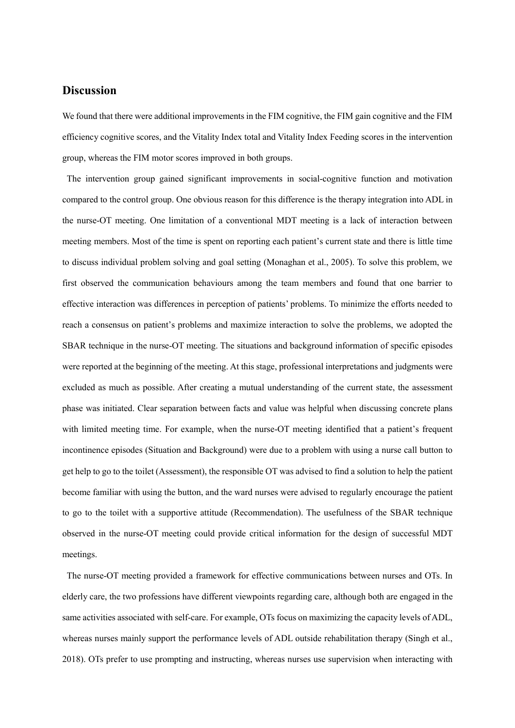# **Discussion**

We found that there were additional improvements in the FIM cognitive, the FIM gain cognitive and the FIM efficiency cognitive scores, and the Vitality Index total and Vitality Index Feeding scores in the intervention group, whereas the FIM motor scores improved in both groups.

The intervention group gained significant improvements in social-cognitive function and motivation compared to the control group. One obvious reason for this difference is the therapy integration into ADL in the nurse-OT meeting. One limitation of a conventional MDT meeting is a lack of interaction between meeting members. Most of the time is spent on reporting each patient's current state and there is little time to discuss individual problem solving and goal setting (Monaghan et al., 2005). To solve this problem, we first observed the communication behaviours among the team members and found that one barrier to effective interaction was differences in perception of patients' problems. To minimize the efforts needed to reach a consensus on patient's problems and maximize interaction to solve the problems, we adopted the SBAR technique in the nurse-OT meeting. The situations and background information of specific episodes were reported at the beginning of the meeting. At this stage, professional interpretations and judgments were excluded as much as possible. After creating a mutual understanding of the current state, the assessment phase was initiated. Clear separation between facts and value was helpful when discussing concrete plans with limited meeting time. For example, when the nurse-OT meeting identified that a patient's frequent incontinence episodes (Situation and Background) were due to a problem with using a nurse call button to get help to go to the toilet (Assessment), the responsible OT was advised to find a solution to help the patient become familiar with using the button, and the ward nurses were advised to regularly encourage the patient to go to the toilet with a supportive attitude (Recommendation). The usefulness of the SBAR technique observed in the nurse-OT meeting could provide critical information for the design of successful MDT meetings.

The nurse-OT meeting provided a framework for effective communications between nurses and OTs. In elderly care, the two professions have different viewpoints regarding care, although both are engaged in the same activities associated with self-care. For example, OTs focus on maximizing the capacity levels of ADL, whereas nurses mainly support the performance levels of ADL outside rehabilitation therapy (Singh et al., 2018). OTs prefer to use prompting and instructing, whereas nurses use supervision when interacting with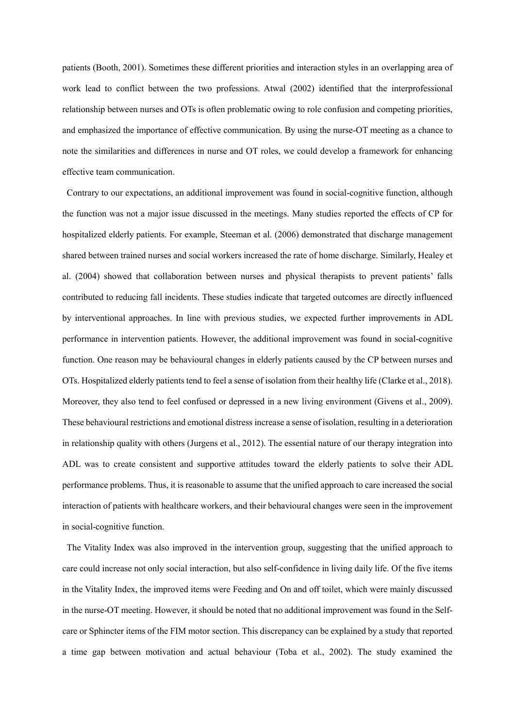patients (Booth, 2001). Sometimes these different priorities and interaction styles in an overlapping area of work lead to conflict between the two professions. Atwal (2002) identified that the interprofessional relationship between nurses and OTs is often problematic owing to role confusion and competing priorities, and emphasized the importance of effective communication. By using the nurse-OT meeting as a chance to note the similarities and differences in nurse and OT roles, we could develop a framework for enhancing effective team communication.

Contrary to our expectations, an additional improvement was found in social-cognitive function, although the function was not a major issue discussed in the meetings. Many studies reported the effects of CP for hospitalized elderly patients. For example, Steeman et al. (2006) demonstrated that discharge management shared between trained nurses and social workers increased the rate of home discharge. Similarly, Healey et al. (2004) showed that collaboration between nurses and physical therapists to prevent patients' falls contributed to reducing fall incidents. These studies indicate that targeted outcomes are directly influenced by interventional approaches. In line with previous studies, we expected further improvements in ADL performance in intervention patients. However, the additional improvement was found in social-cognitive function. One reason may be behavioural changes in elderly patients caused by the CP between nurses and OTs. Hospitalized elderly patients tend to feel a sense of isolation from their healthy life (Clarke et al., 2018). Moreover, they also tend to feel confused or depressed in a new living environment (Givens et al., 2009). These behavioural restrictions and emotional distress increase a sense of isolation, resulting in a deterioration in relationship quality with others (Jurgens et al., 2012). The essential nature of our therapy integration into ADL was to create consistent and supportive attitudes toward the elderly patients to solve their ADL performance problems. Thus, it is reasonable to assume that the unified approach to care increased the social interaction of patients with healthcare workers, and their behavioural changes were seen in the improvement in social-cognitive function.

The Vitality Index was also improved in the intervention group, suggesting that the unified approach to care could increase not only social interaction, but also self-confidence in living daily life. Of the five items in the Vitality Index, the improved items were Feeding and On and off toilet, which were mainly discussed in the nurse-OT meeting. However, it should be noted that no additional improvement was found in the Selfcare or Sphincter items of the FIM motor section. This discrepancy can be explained by a study that reported a time gap between motivation and actual behaviour (Toba et al., 2002). The study examined the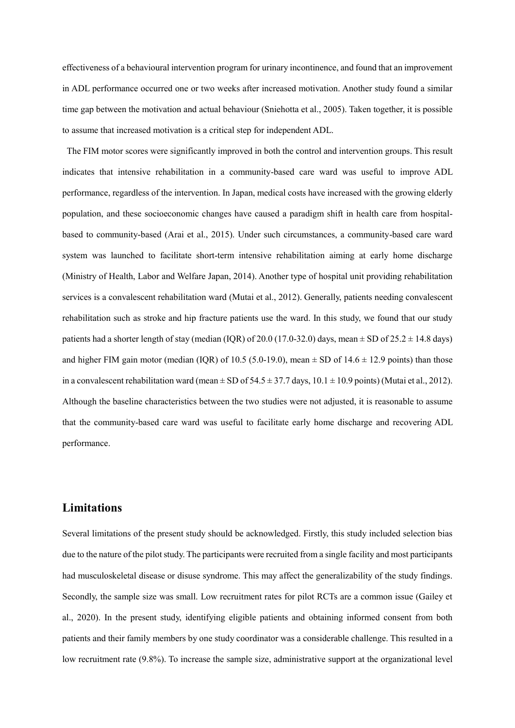effectiveness of a behavioural intervention program for urinary incontinence, and found that an improvement in ADL performance occurred one or two weeks after increased motivation. Another study found a similar time gap between the motivation and actual behaviour (Sniehotta et al., 2005). Taken together, it is possible to assume that increased motivation is a critical step for independent ADL.

The FIM motor scores were significantly improved in both the control and intervention groups. This result indicates that intensive rehabilitation in a community-based care ward was useful to improve ADL performance, regardless of the intervention. In Japan, medical costs have increased with the growing elderly population, and these socioeconomic changes have caused a paradigm shift in health care from hospitalbased to community-based (Arai et al., 2015). Under such circumstances, a community-based care ward system was launched to facilitate short-term intensive rehabilitation aiming at early home discharge (Ministry of Health, Labor and Welfare Japan, 2014). Another type of hospital unit providing rehabilitation services is a convalescent rehabilitation ward (Mutai et al., 2012). Generally, patients needing convalescent rehabilitation such as stroke and hip fracture patients use the ward. In this study, we found that our study patients had a shorter length of stay (median (IQR) of 20.0 (17.0-32.0) days, mean  $\pm$  SD of 25.2  $\pm$  14.8 days) and higher FIM gain motor (median (IQR) of 10.5 (5.0-19.0), mean  $\pm$  SD of 14.6  $\pm$  12.9 points) than those in a convalescent rehabilitation ward (mean  $\pm$  SD of 54.5  $\pm$  37.7 days, 10.1  $\pm$  10.9 points) (Mutai et al., 2012). Although the baseline characteristics between the two studies were not adjusted, it is reasonable to assume that the community-based care ward was useful to facilitate early home discharge and recovering ADL performance.

# **Limitations**

Several limitations of the present study should be acknowledged. Firstly, this study included selection bias due to the nature of the pilot study. The participants were recruited from a single facility and most participants had musculoskeletal disease or disuse syndrome. This may affect the generalizability of the study findings. Secondly, the sample size was small. Low recruitment rates for pilot RCTs are a common issue (Gailey et al., 2020). In the present study, identifying eligible patients and obtaining informed consent from both patients and their family members by one study coordinator was a considerable challenge. This resulted in a low recruitment rate (9.8%). To increase the sample size, administrative support at the organizational level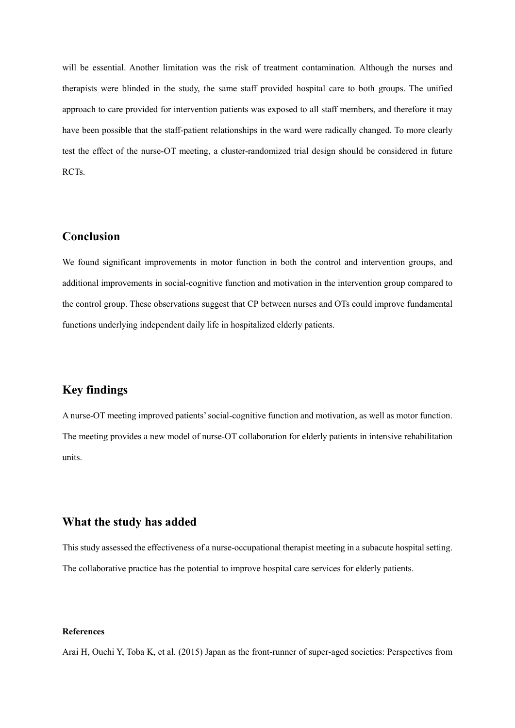will be essential. Another limitation was the risk of treatment contamination. Although the nurses and therapists were blinded in the study, the same staff provided hospital care to both groups. The unified approach to care provided for intervention patients was exposed to all staff members, and therefore it may have been possible that the staff-patient relationships in the ward were radically changed. To more clearly test the effect of the nurse-OT meeting, a cluster-randomized trial design should be considered in future RCTs.

# **Conclusion**

We found significant improvements in motor function in both the control and intervention groups, and additional improvements in social-cognitive function and motivation in the intervention group compared to the control group. These observations suggest that CP between nurses and OTs could improve fundamental functions underlying independent daily life in hospitalized elderly patients.

## **Key findings**

A nurse-OT meeting improved patients' social-cognitive function and motivation, as well as motor function. The meeting provides a new model of nurse-OT collaboration for elderly patients in intensive rehabilitation units.

### **What the study has added**

This study assessed the effectiveness of a nurse-occupational therapist meeting in a subacute hospital setting. The collaborative practice has the potential to improve hospital care services for elderly patients.

#### **References**

Arai H, Ouchi Y, Toba K, et al. (2015) Japan as the front-runner of super-aged societies: Perspectives from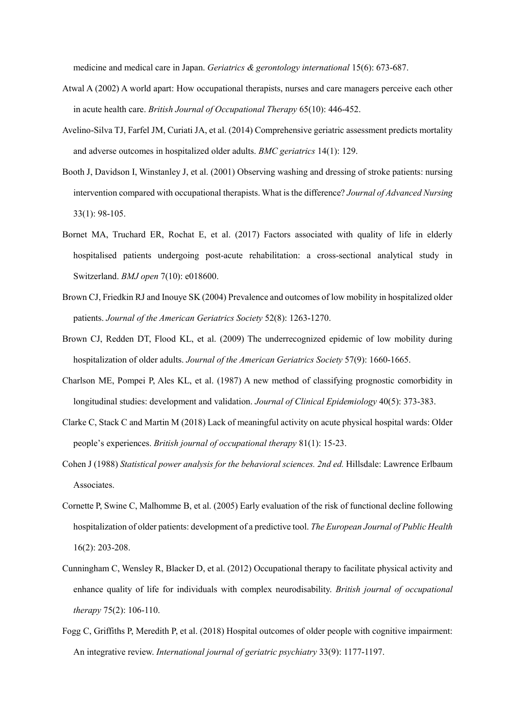medicine and medical care in Japan. *Geriatrics & gerontology international* 15(6): 673-687.

- Atwal A (2002) A world apart: How occupational therapists, nurses and care managers perceive each other in acute health care. *British Journal of Occupational Therapy* 65(10): 446-452.
- Avelino-Silva TJ, Farfel JM, Curiati JA, et al. (2014) Comprehensive geriatric assessment predicts mortality and adverse outcomes in hospitalized older adults. *BMC geriatrics* 14(1): 129.
- Booth J, Davidson I, Winstanley J, et al. (2001) Observing washing and dressing of stroke patients: nursing intervention compared with occupational therapists. What is the difference? *Journal of Advanced Nursing* 33(1): 98-105.
- Bornet MA, Truchard ER, Rochat E, et al. (2017) Factors associated with quality of life in elderly hospitalised patients undergoing post-acute rehabilitation: a cross-sectional analytical study in Switzerland. *BMJ open* 7(10): e018600.
- Brown CJ, Friedkin RJ and Inouye SK (2004) Prevalence and outcomes of low mobility in hospitalized older patients. *Journal of the American Geriatrics Society* 52(8): 1263-1270.
- Brown CJ, Redden DT, Flood KL, et al. (2009) The underrecognized epidemic of low mobility during hospitalization of older adults. *Journal of the American Geriatrics Society* 57(9): 1660-1665.
- Charlson ME, Pompei P, Ales KL, et al. (1987) A new method of classifying prognostic comorbidity in longitudinal studies: development and validation. *Journal of Clinical Epidemiology* 40(5): 373-383.
- Clarke C, Stack C and Martin M (2018) Lack of meaningful activity on acute physical hospital wards: Older people's experiences. *British journal of occupational therapy* 81(1): 15-23.
- Cohen J (1988) *Statistical power analysis for the behavioral sciences. 2nd ed.* Hillsdale: Lawrence Erlbaum Associates.
- Cornette P, Swine C, Malhomme B, et al. (2005) Early evaluation of the risk of functional decline following hospitalization of older patients: development of a predictive tool. *The European Journal of Public Health*  16(2): 203-208.
- Cunningham C, Wensley R, Blacker D, et al. (2012) Occupational therapy to facilitate physical activity and enhance quality of life for individuals with complex neurodisability. *British journal of occupational therapy* 75(2): 106-110.
- Fogg C, Griffiths P, Meredith P, et al. (2018) Hospital outcomes of older people with cognitive impairment: An integrative review. *International journal of geriatric psychiatry* 33(9): 1177-1197.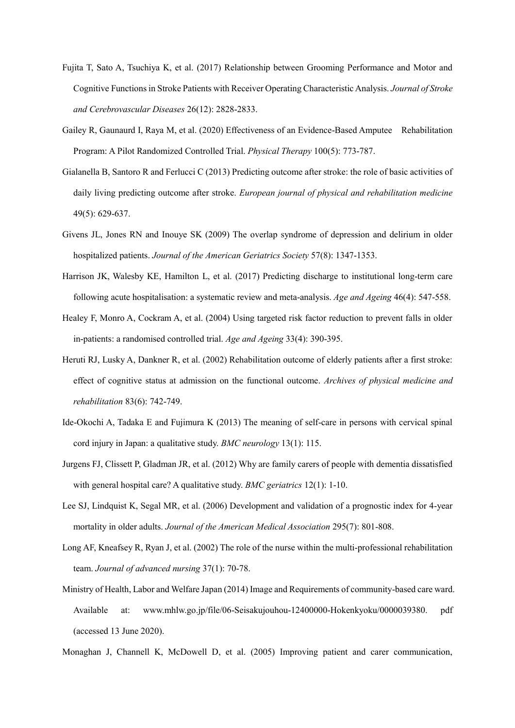- Fujita T, Sato A, Tsuchiya K, et al. (2017) Relationship between Grooming Performance and Motor and Cognitive Functions in Stroke Patients with Receiver Operating Characteristic Analysis. *Journal of Stroke and Cerebrovascular Diseases* 26(12): 2828-2833.
- Gailey R, Gaunaurd I, Raya M, et al. (2020) Effectiveness of an Evidence-Based Amputee Rehabilitation Program: A Pilot Randomized Controlled Trial. *Physical Therapy* 100(5): 773-787.
- Gialanella B, Santoro R and Ferlucci C (2013) Predicting outcome after stroke: the role of basic activities of daily living predicting outcome after stroke. *European journal of physical and rehabilitation medicine*  49(5): 629-637.
- Givens JL, Jones RN and Inouye SK (2009) The overlap syndrome of depression and delirium in older hospitalized patients. *Journal of the American Geriatrics Society* 57(8): 1347-1353.
- Harrison JK, Walesby KE, Hamilton L, et al. (2017) Predicting discharge to institutional long-term care following acute hospitalisation: a systematic review and meta-analysis. *Age and Ageing* 46(4): 547-558.
- Healey F, Monro A, Cockram A, et al. (2004) Using targeted risk factor reduction to prevent falls in older in-patients: a randomised controlled trial. *Age and Ageing* 33(4): 390-395.
- Heruti RJ, Lusky A, Dankner R, et al. (2002) Rehabilitation outcome of elderly patients after a first stroke: effect of cognitive status at admission on the functional outcome. *Archives of physical medicine and rehabilitation* 83(6): 742-749.
- Ide-Okochi A, Tadaka E and Fujimura K (2013) The meaning of self-care in persons with cervical spinal cord injury in Japan: a qualitative study. *BMC neurology* 13(1): 115.
- Jurgens FJ, Clissett P, Gladman JR, et al. (2012) Why are family carers of people with dementia dissatisfied with general hospital care? A qualitative study. *BMC geriatrics* 12(1): 1-10.
- Lee SJ, Lindquist K, Segal MR, et al. (2006) Development and validation of a prognostic index for 4-year mortality in older adults. *Journal of the American Medical Association* 295(7): 801-808.
- Long AF, Kneafsey R, Ryan J, et al. (2002) The role of the nurse within the multi-professional rehabilitation team. *Journal of advanced nursing* 37(1): 70-78.
- Ministry of Health, Labor and Welfare Japan (2014) Image and Requirements of community-based care ward. Available at: [www.mhlw.go.jp/file/06-Seisakujouhou-12400000-Hokenkyoku/0000039380. pdf](http://www.mhlw.go.jp/file/06-Seisakujouhou-12400000-Hokenkyoku/0000039380.%20pdf%20(accessed)  [\(accessed](http://www.mhlw.go.jp/file/06-Seisakujouhou-12400000-Hokenkyoku/0000039380.%20pdf%20(accessed) 13 June 2020).
- Monaghan J, Channell K, McDowell D, et al. (2005) Improving patient and carer communication,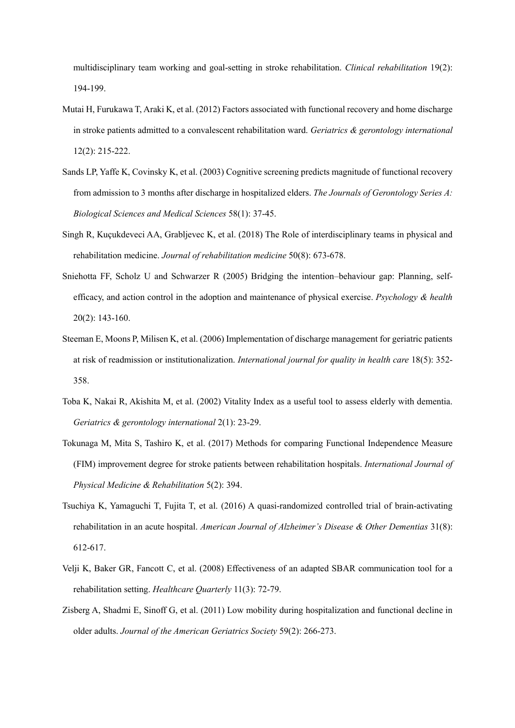multidisciplinary team working and goal-setting in stroke rehabilitation. *Clinical rehabilitation* 19(2): 194-199.

- Mutai H, Furukawa T, Araki K, et al. (2012) Factors associated with functional recovery and home discharge in stroke patients admitted to a convalescent rehabilitation ward. *Geriatrics & gerontology international* 12(2): 215-222.
- Sands LP, Yaffe K, Covinsky K, et al. (2003) Cognitive screening predicts magnitude of functional recovery from admission to 3 months after discharge in hospitalized elders. *The Journals of Gerontology Series A: Biological Sciences and Medical Sciences* 58(1): 37-45.
- Singh R, Kuçukdeveci AA, Grabljevec K, et al. (2018) The Role of interdisciplinary teams in physical and rehabilitation medicine. *Journal of rehabilitation medicine* 50(8): 673-678.
- Sniehotta FF, Scholz U and Schwarzer R (2005) Bridging the intention–behaviour gap: Planning, selfefficacy, and action control in the adoption and maintenance of physical exercise. *Psychology & health* 20(2): 143-160.
- Steeman E, Moons P, Milisen K, et al. (2006) Implementation of discharge management for geriatric patients at risk of readmission or institutionalization. *International journal for quality in health care* 18(5): 352- 358.
- Toba K, Nakai R, Akishita M, et al. (2002) Vitality Index as a useful tool to assess elderly with dementia. *Geriatrics & gerontology international* 2(1): 23-29.
- Tokunaga M, Mita S, Tashiro K, et al. (2017) Methods for comparing Functional Independence Measure (FIM) improvement degree for stroke patients between rehabilitation hospitals. *International Journal of Physical Medicine & Rehabilitation* 5(2): 394.
- Tsuchiya K, Yamaguchi T, Fujita T, et al. (2016) A quasi-randomized controlled trial of brain-activating rehabilitation in an acute hospital. *American Journal of Alzheimer's Disease & Other Dementias* 31(8): 612-617.
- Velji K, Baker GR, Fancott C, et al. (2008) Effectiveness of an adapted SBAR communication tool for a rehabilitation setting. *Healthcare Quarterly* 11(3): 72-79.
- Zisberg A, Shadmi E, Sinoff G, et al. (2011) Low mobility during hospitalization and functional decline in older adults. *Journal of the American Geriatrics Society* 59(2): 266-273.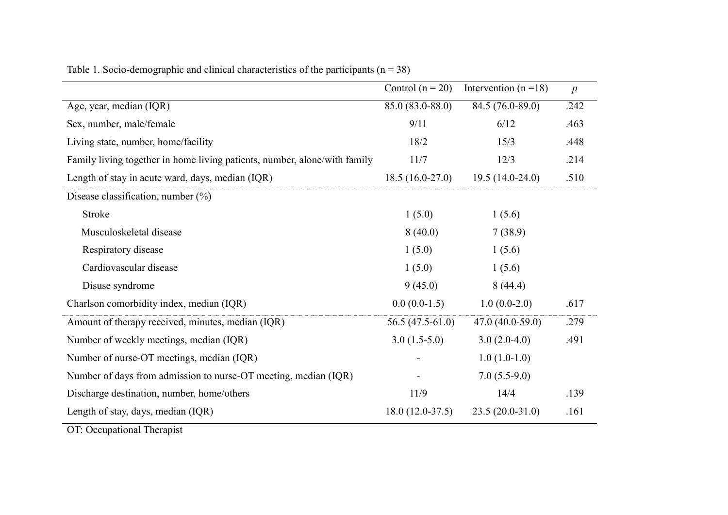|                                                                                                                                                                     | Control $(n = 20)$ | Intervention $(n=18)$ | $\boldsymbol{p}$ |
|---------------------------------------------------------------------------------------------------------------------------------------------------------------------|--------------------|-----------------------|------------------|
| Age, year, median (IQR)                                                                                                                                             | 85.0 (83.0-88.0)   | 84.5 (76.0-89.0)      | .242             |
| Sex, number, male/female                                                                                                                                            | 9/11               | 6/12                  | .463             |
| Living state, number, home/facility                                                                                                                                 | 18/2               | 15/3                  | .448             |
| Family living together in home living patients, number, alone/with family                                                                                           | 11/7               | 12/3                  | .214             |
| Length of stay in acute ward, days, median (IQR)                                                                                                                    | $18.5(16.0-27.0)$  | $19.5(14.0-24.0)$     | .510             |
| Disease classification, number $(\%)$                                                                                                                               |                    |                       |                  |
| Stroke                                                                                                                                                              | 1(5.0)             | 1(5.6)                |                  |
| Musculoskeletal disease                                                                                                                                             | 8(40.0)            | 7(38.9)               |                  |
| Respiratory disease                                                                                                                                                 | 1(5.0)             | 1(5.6)                |                  |
| Cardiovascular disease                                                                                                                                              | 1(5.0)             | 1(5.6)                |                  |
| Disuse syndrome                                                                                                                                                     | 9(45.0)            | 8(44.4)               |                  |
| Charlson comorbidity index, median (IQR)                                                                                                                            | $0.0(0.0-1.5)$     | $1.0(0.0-2.0)$        | .617             |
| Amount of therapy received, minutes, median (IQR)                                                                                                                   | $56.5(47.5-61.0)$  | $47.0(40.0-59.0)$     | .279             |
| Number of weekly meetings, median (IQR)                                                                                                                             | $3.0(1.5-5.0)$     | $3.0(2.0-4.0)$        | .491             |
| Number of nurse-OT meetings, median (IQR)                                                                                                                           |                    | $1.0(1.0-1.0)$        |                  |
| Number of days from admission to nurse-OT meeting, median (IQR)                                                                                                     |                    | $7.0(5.5-9.0)$        |                  |
| Discharge destination, number, home/others                                                                                                                          | 11/9               | 14/4                  | .139             |
| Length of stay, days, median (IQR)<br>$\overline{\text{OT}}$ , $\overline{\text{O}}$ and $\overline{\text{O}}$ and $\overline{\text{CI}}$ and $\overline{\text{O}}$ | $18.0(12.0-37.5)$  | $23.5(20.0-31.0)$     | .161             |

Table 1. Socio-demographic and clinical characteristics of the participants  $(n = 38)$ 

OT: Occupational Therapist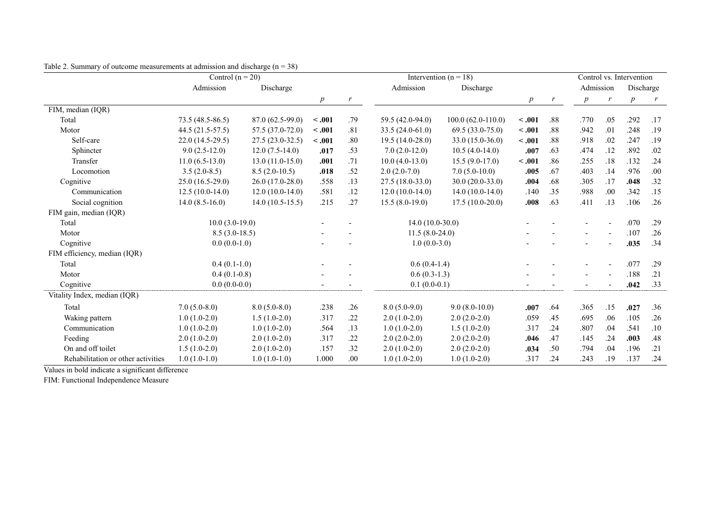|                                    | . ייי יי<br>$\sim$ $\sim$ $\prime$<br>Control $(n = 20)$ |                   |                          |      | Intervention ( $n = 18$ ) |                    |                  | Control vs. Intervention |                  |                  |                  |     |
|------------------------------------|----------------------------------------------------------|-------------------|--------------------------|------|---------------------------|--------------------|------------------|--------------------------|------------------|------------------|------------------|-----|
|                                    | Admission                                                | Discharge         |                          |      | Admission                 | Discharge          |                  |                          | Admission        |                  | Discharge        |     |
|                                    |                                                          |                   | $\boldsymbol{p}$         |      |                           |                    | $\boldsymbol{p}$ |                          | $\boldsymbol{p}$ | $\boldsymbol{r}$ | $\boldsymbol{p}$ | r   |
| FIM, median (IQR)                  |                                                          |                   |                          |      |                           |                    |                  |                          |                  |                  |                  |     |
| Total                              | 73.5 (48.5-86.5)                                         | 87.0 (62.5-99.0)  | < .001                   | .79  | 59.5 (42.0-94.0)          | 100.0 (62.0-110.0) | $-.001$          | .88                      | .770             | .05              | .292             | .17 |
| Motor                              | 44.5 (21.5-57.5)                                         | 57.5 (37.0-72.0)  | $-.001$                  | .81  | $33.5(24.0-61.0)$         | $69.5(33.0-75.0)$  | $-.001$          | .88                      | .942             | .01              | .248             | .19 |
| Self-care                          | 22.0 (14.5-29.5)                                         | 27.5 (23.0-32.5)  | < .001                   | .80  | $19.5(14.0-28.0)$         | 33.0 (15.0-36.0)   | $-.001$          | .88                      | .918             | .02              | .247             | .19 |
| Sphincter                          | $9.0(2.5-12.0)$                                          | $12.0(7.5-14.0)$  | .017                     | .53  | $7.0(2.0-12.0)$           | $10.5(4.0-14.0)$   | .007             | .63                      | .474             | .12              | .892             | .02 |
| Transfer                           | $11.0(6.5-13.0)$                                         | $13.0(11.0-15.0)$ | .001                     | .71  | $10.0(4.0-13.0)$          | $15.5(9.0-17.0)$   | $-.001$          | .86                      | .255             | .18              | .132             | .24 |
| Locomotion                         | $3.5(2.0-8.5)$                                           | $8.5(2.0-10.5)$   | .018                     | .52  | $2.0(2.0-7.0)$            | $7.0(5.0-10.0)$    | .005             | .67                      | .403             | .14              | .976             | .00 |
| Cognitive                          | $25.0(16.5-29.0)$                                        | $26.0(17.0-28.0)$ | .558                     | .13  | $27.5(18.0-33.0)$         | $30.0(20.0-33.0)$  | .004             | .68                      | .305             | .17              | .048             | .32 |
| Communication                      | $12.5(10.0-14.0)$                                        | $12.0(10.0-14.0)$ | .581                     | .12  | $12.0(10.0-14.0)$         | $14.0(10.0-14.0)$  | .140             | .35                      | .988             | .00              | .342             | .15 |
| Social cognition                   | $14.0(8.5-16.0)$                                         | $14.0(10.5-15.5)$ | .215                     | .27  | $15.5(8.0-19.0)$          | $17.5(10.0-20.0)$  | .008             | .63                      | .411             | .13              | .106             | .26 |
| FIM gain, median (IQR)             |                                                          |                   |                          |      |                           |                    |                  |                          |                  |                  |                  |     |
| Total                              | $10.0(3.0-19.0)$                                         |                   |                          |      | $14.0(10.0-30.0)$         |                    |                  |                          |                  |                  | .070             | .29 |
| Motor                              | $8.5(3.0-18.5)$                                          |                   |                          |      | $11.5(8.0-24.0)$          |                    |                  |                          |                  |                  | .107             | .26 |
| Cognitive                          | $0.0(0.0-1.0)$                                           |                   |                          |      | $1.0(0.0-3.0)$            |                    |                  |                          |                  |                  | .035             | .34 |
| FIM efficiency, median (IQR)       |                                                          |                   |                          |      |                           |                    |                  |                          |                  |                  |                  |     |
| Total                              | $0.4(0.1-1.0)$                                           |                   |                          |      | $0.6(0.4-1.4)$            |                    |                  |                          |                  |                  | .077             | .29 |
| Motor                              | $0.4(0.1-0.8)$                                           |                   |                          |      | $0.6(0.3-1.3)$            |                    |                  |                          |                  |                  | .188             | .21 |
| Cognitive                          | $0.0(0.0-0.0)$                                           |                   | $\overline{\phantom{a}}$ |      | $0.1(0.0-0.1)$            |                    |                  |                          |                  | $\blacksquare$   | .042             | .33 |
| Vitality Index, median (IQR)       |                                                          |                   |                          |      |                           |                    |                  |                          |                  |                  |                  |     |
| Total                              | $7.0(5.0-8.0)$                                           | $8.0(5.0-8.0)$    | .238                     | .26  | $8.0(5.0-9.0)$            | $9.0(8.0-10.0)$    | .007             | .64                      | .365             | .15              | .027             | .36 |
| Waking pattern                     | $1.0(1.0-2.0)$                                           | $1.5(1.0-2.0)$    | .317                     | .22  | $2.0(1.0-2.0)$            | $2.0(2.0-2.0)$     | .059             | .45                      | .695             | .06              | .105             | .26 |
| Communication                      | $1.0(1.0-2.0)$                                           | $1.0(1.0-2.0)$    | .564                     | .13  | $1.0(1.0-2.0)$            | $1.5(1.0-2.0)$     | .317             | .24                      | .807             | .04              | .541             | .10 |
| Feeding                            | $2.0(1.0-2.0)$                                           | $2.0(1.0-2.0)$    | .317                     | .22  | $2.0(2.0-2.0)$            | $2.0(2.0-2.0)$     | .046             | .47                      | .145             | .24              | .003             | .48 |
| On and off toilet                  | $1.5(1.0-2.0)$                                           | $2.0(1.0-2.0)$    | .157                     | .32  | $2.0(1.0-2.0)$            | $2.0(2.0-2.0)$     | .034             | .50                      | .794             | .04              | .196             | .21 |
| Rehabilitation or other activities | $1.0(1.0-1.0)$                                           | $1.0(1.0-1.0)$    | 1.000                    | .00. | $1.0(1.0-2.0)$            | $1.0(1.0-2.0)$     | .317             | .24                      | .243             | .19              | .137             | .24 |

Table 2. Summary of outcome measurements at admission and discharge  $(n = 38)$ 

Values in bold indicate a significant difference

FIM: Functional Independence Measure